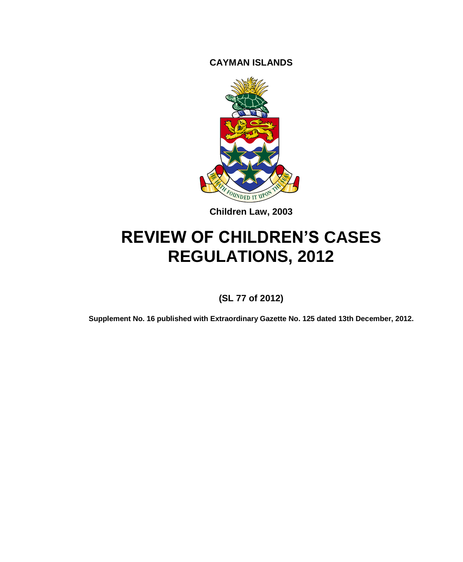**CAYMAN ISLANDS**



**Children Law, 2003**

# **REVIEW OF CHILDREN'S CASES REGULATIONS, 2012**

## **(SL 77 of 2012)**

**Supplement No. 16 published with Extraordinary Gazette No. 125 dated 13th December, 2012.**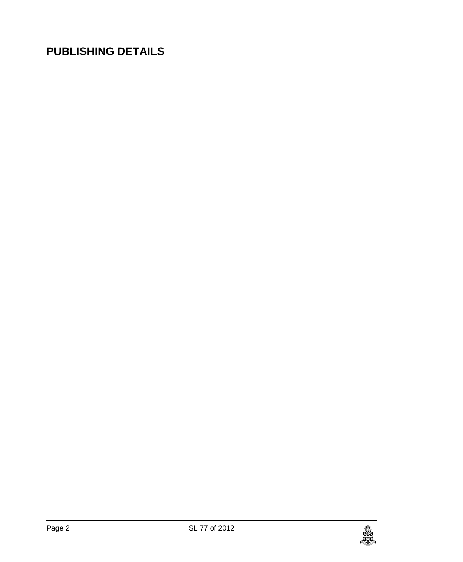# **PUBLISHING DETAILS**

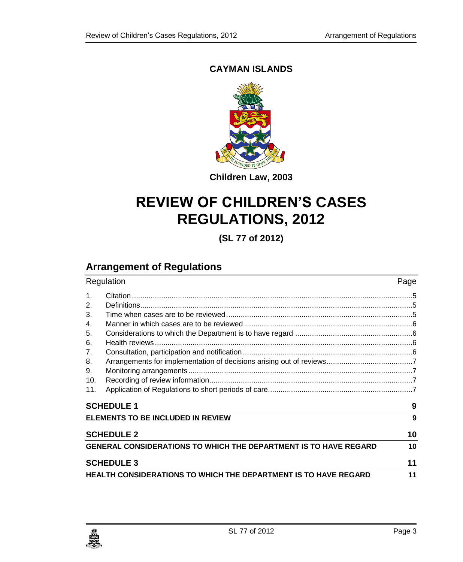#### **CAYMAN ISLANDS**



**Children Law, 2003**

# **REVIEW OF CHILDREN'S CASES REGULATIONS, 2012**

**(SL 77 of 2012)**

# **Arrangement of Regulations**

| Regulation                                                              |  | Page |
|-------------------------------------------------------------------------|--|------|
| 1.                                                                      |  |      |
| 2.                                                                      |  |      |
| 3.                                                                      |  |      |
| 4.                                                                      |  |      |
| 5.                                                                      |  |      |
| 6.                                                                      |  |      |
| 7.                                                                      |  |      |
| 8.                                                                      |  |      |
| 9.                                                                      |  |      |
| 10.                                                                     |  |      |
| 11.                                                                     |  |      |
| <b>SCHEDULE 1</b>                                                       |  | 9    |
| <b>ELEMENTS TO BE INCLUDED IN REVIEW</b>                                |  | 9    |
| <b>SCHEDULE 2</b>                                                       |  | 10   |
| <b>GENERAL CONSIDERATIONS TO WHICH THE DEPARTMENT IS TO HAVE REGARD</b> |  | 10   |
| <b>SCHEDULE 3</b>                                                       |  | 11   |
| <b>HEALTH CONSIDERATIONS TO WHICH THE DEPARTMENT IS TO HAVE REGARD</b>  |  | 11   |

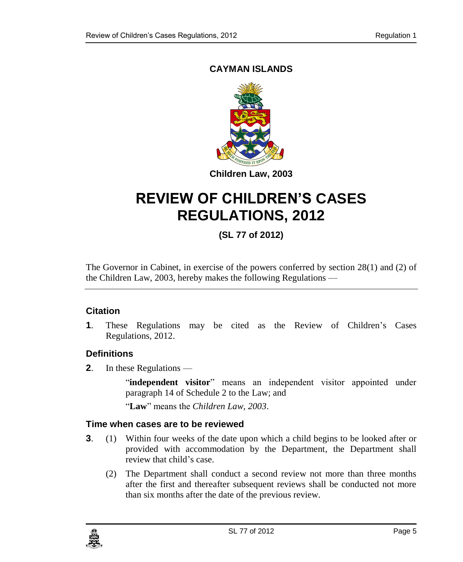## **CAYMAN ISLANDS**



# **REVIEW OF CHILDREN'S CASES REGULATIONS, 2012**

# **(SL 77 of 2012)**

The Governor in Cabinet, in exercise of the powers conferred by section 28(1) and (2) of the Children Law, 2003, hereby makes the following Regulations —

#### <span id="page-4-0"></span>**1. Citation**

**1**. These Regulations may be cited as the Review of Children's Cases Regulations, 2012.

#### <span id="page-4-1"></span>**2. Definitions**

**2**. In these Regulations —

"independent visitor" means an independent visitor appointed under paragraph 14 of Schedule 2 to the Law; and

"**Law**" means the *Children Law, 2003*.

#### <span id="page-4-2"></span>**3. Time when cases are to be reviewed**

- **3**. (1) Within four weeks of the date upon which a child begins to be looked after or provided with accommodation by the Department, the Department shall review that child's case.
	- (2) The Department shall conduct a second review not more than three months after the first and thereafter subsequent reviews shall be conducted not more than six months after the date of the previous review.

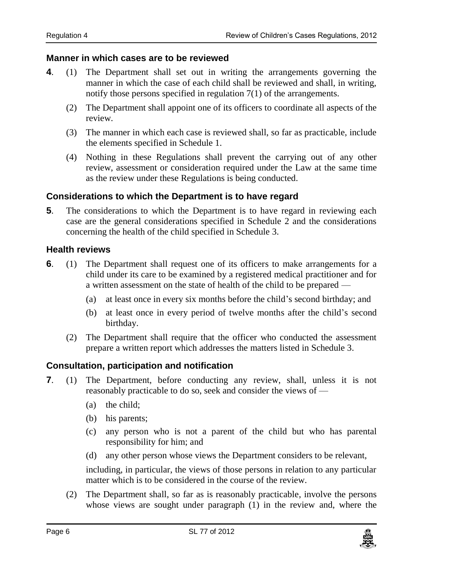#### <span id="page-5-0"></span>**4. Manner in which cases are to be reviewed**

- **4**. (1) The Department shall set out in writing the arrangements governing the manner in which the case of each child shall be reviewed and shall, in writing, notify those persons specified in regulation 7(1) of the arrangements.
	- (2) The Department shall appoint one of its officers to coordinate all aspects of the review.
	- (3) The manner in which each case is reviewed shall, so far as practicable, include the elements specified in Schedule 1.
	- (4) Nothing in these Regulations shall prevent the carrying out of any other review, assessment or consideration required under the Law at the same time as the review under these Regulations is being conducted.

#### <span id="page-5-1"></span>**5. Considerations to which the Department is to have regard**

**5**. The considerations to which the Department is to have regard in reviewing each case are the general considerations specified in Schedule 2 and the considerations concerning the health of the child specified in Schedule 3.

#### <span id="page-5-2"></span>**6. Health reviews**

- **6**. (1) The Department shall request one of its officers to make arrangements for a child under its care to be examined by a registered medical practitioner and for a written assessment on the state of health of the child to be prepared —
	- (a) at least once in every six months before the child's second birthday; and
	- (b) at least once in every period of twelve months after the child's second birthday.
	- (2) The Department shall require that the officer who conducted the assessment prepare a written report which addresses the matters listed in Schedule 3.

#### <span id="page-5-3"></span>**7. Consultation, participation and notification**

- **7**. (1) The Department, before conducting any review, shall, unless it is not reasonably practicable to do so, seek and consider the views of —
	- (a) the child;
	- (b) his parents;
	- (c) any person who is not a parent of the child but who has parental responsibility for him; and
	- (d) any other person whose views the Department considers to be relevant,

including, in particular, the views of those persons in relation to any particular matter which is to be considered in the course of the review.

(2) The Department shall, so far as is reasonably practicable, involve the persons whose views are sought under paragraph (1) in the review and, where the

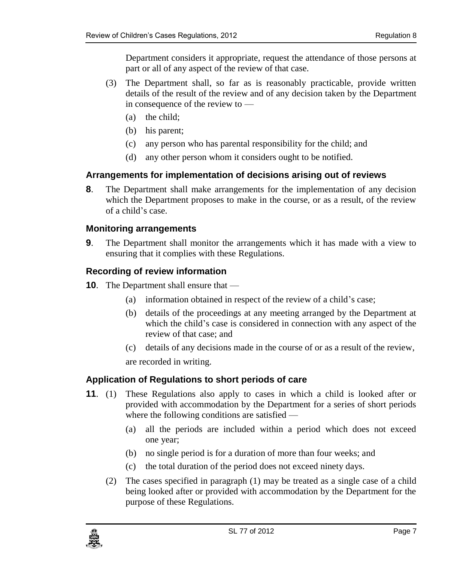Department considers it appropriate, request the attendance of those persons at part or all of any aspect of the review of that case.

- (3) The Department shall, so far as is reasonably practicable, provide written details of the result of the review and of any decision taken by the Department in consequence of the review to —
	- (a) the child;
	- (b) his parent;
	- (c) any person who has parental responsibility for the child; and
	- (d) any other person whom it considers ought to be notified.

#### <span id="page-6-0"></span>**8. Arrangements for implementation of decisions arising out of reviews**

**8**. The Department shall make arrangements for the implementation of any decision which the Department proposes to make in the course, or as a result, of the review of a child's case.

#### <span id="page-6-1"></span>**9. Monitoring arrangements**

**9**. The Department shall monitor the arrangements which it has made with a view to ensuring that it complies with these Regulations.

#### <span id="page-6-2"></span>**10. Recording of review information**

- **10**. The Department shall ensure that
	- (a) information obtained in respect of the review of a child's case;
	- (b) details of the proceedings at any meeting arranged by the Department at which the child's case is considered in connection with any aspect of the review of that case; and
	- (c) details of any decisions made in the course of or as a result of the review,

are recorded in writing.

#### <span id="page-6-3"></span>**11. Application of Regulations to short periods of care**

- **11**. (1) These Regulations also apply to cases in which a child is looked after or provided with accommodation by the Department for a series of short periods where the following conditions are satisfied —
	- (a) all the periods are included within a period which does not exceed one year;
	- (b) no single period is for a duration of more than four weeks; and
	- (c) the total duration of the period does not exceed ninety days.
	- (2) The cases specified in paragraph (1) may be treated as a single case of a child being looked after or provided with accommodation by the Department for the purpose of these Regulations.

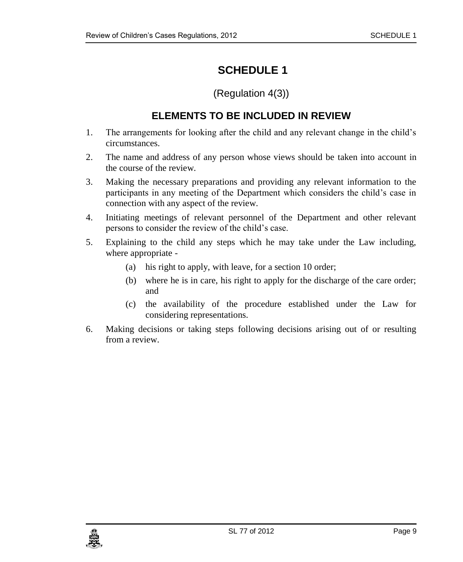# <span id="page-8-0"></span>**SCHEDULE 1**

(Regulation 4(3))

## **ELEMENTS TO BE INCLUDED IN REVIEW**

- <span id="page-8-1"></span>1. The arrangements for looking after the child and any relevant change in the child's circumstances.
- 2. The name and address of any person whose views should be taken into account in the course of the review.
- 3. Making the necessary preparations and providing any relevant information to the participants in any meeting of the Department which considers the child's case in connection with any aspect of the review.
- 4. Initiating meetings of relevant personnel of the Department and other relevant persons to consider the review of the child's case.
- 5. Explaining to the child any steps which he may take under the Law including, where appropriate -
	- (a) his right to apply, with leave, for a section 10 order;
	- (b) where he is in care, his right to apply for the discharge of the care order; and
	- (c) the availability of the procedure established under the Law for considering representations.
- 6. Making decisions or taking steps following decisions arising out of or resulting from a review.

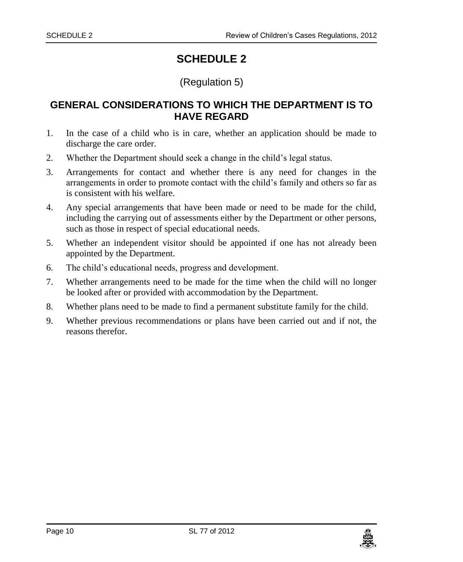# **SCHEDULE 2**

## (Regulation 5)

### <span id="page-9-1"></span><span id="page-9-0"></span>**GENERAL CONSIDERATIONS TO WHICH THE DEPARTMENT IS TO HAVE REGARD**

- 1. In the case of a child who is in care, whether an application should be made to discharge the care order.
- 2. Whether the Department should seek a change in the child's legal status.
- 3. Arrangements for contact and whether there is any need for changes in the arrangements in order to promote contact with the child's family and others so far as is consistent with his welfare.
- 4. Any special arrangements that have been made or need to be made for the child, including the carrying out of assessments either by the Department or other persons, such as those in respect of special educational needs.
- 5. Whether an independent visitor should be appointed if one has not already been appointed by the Department.
- 6. The child's educational needs, progress and development.
- 7. Whether arrangements need to be made for the time when the child will no longer be looked after or provided with accommodation by the Department.
- 8. Whether plans need to be made to find a permanent substitute family for the child.
- 9. Whether previous recommendations or plans have been carried out and if not, the reasons therefor.

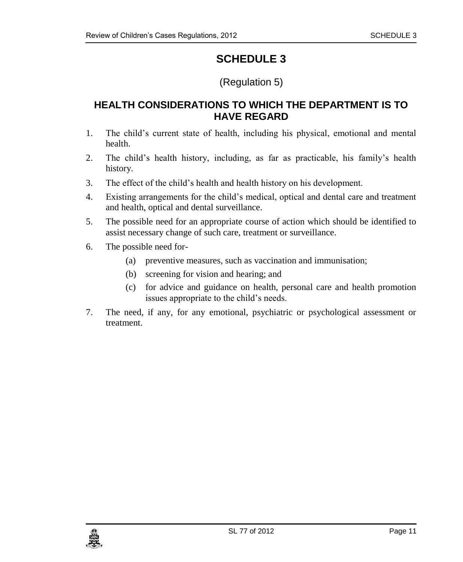# **SCHEDULE 3**

# (Regulation 5)

# <span id="page-10-1"></span><span id="page-10-0"></span>**HEALTH CONSIDERATIONS TO WHICH THE DEPARTMENT IS TO HAVE REGARD**

- 1. The child's current state of health, including his physical, emotional and mental health.
- 2. The child's health history, including, as far as practicable, his family's health history.
- 3. The effect of the child's health and health history on his development.
- 4. Existing arrangements for the child's medical, optical and dental care and treatment and health, optical and dental surveillance.
- 5. The possible need for an appropriate course of action which should be identified to assist necessary change of such care, treatment or surveillance.
- 6. The possible need for-
	- (a) preventive measures, such as vaccination and immunisation;
	- (b) screening for vision and hearing; and
	- (c) for advice and guidance on health, personal care and health promotion issues appropriate to the child's needs.
- 7. The need, if any, for any emotional, psychiatric or psychological assessment or treatment.